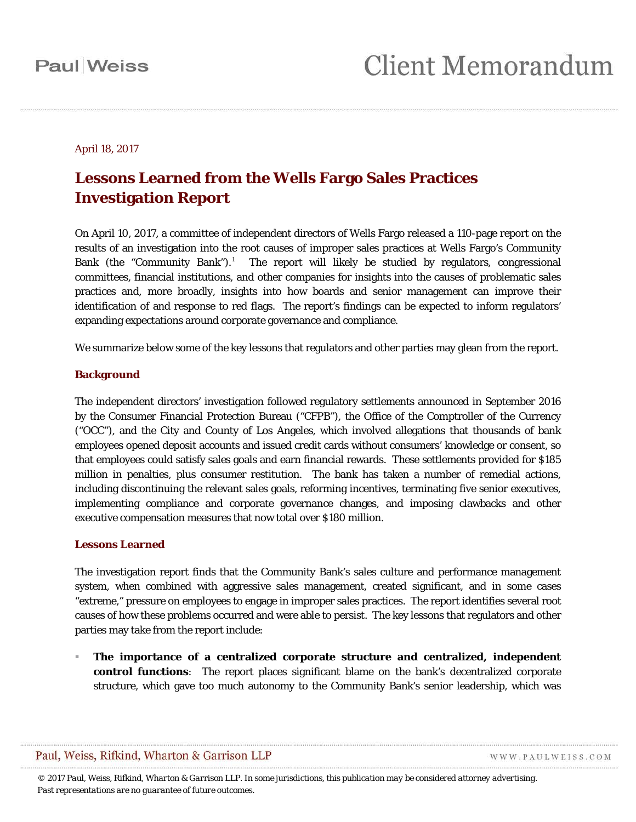#### April 18, 2017

### **Lessons Learned from the Wells Fargo Sales Practices Investigation Report**

On April 10, 2017, a committee of independent directors of Wells Fargo released a 110-page report on the results of an investigation into the root causes of improper sales practices at Wells Fargo's Community Bank (the "Community Bank").<sup>[1](#page-3-0)</sup> The report will likely be studied by regulators, congressional committees, financial institutions, and other companies for insights into the causes of problematic sales practices and, more broadly, insights into how boards and senior management can improve their identification of and response to red flags. The report's findings can be expected to inform regulators' expanding expectations around corporate governance and compliance.

We summarize below some of the key lessons that regulators and other parties may glean from the report.

#### **Background**

The independent directors' investigation followed regulatory settlements announced in September 2016 by the Consumer Financial Protection Bureau ("CFPB"), the Office of the Comptroller of the Currency ("OCC"), and the City and County of Los Angeles, which involved allegations that thousands of bank employees opened deposit accounts and issued credit cards without consumers' knowledge or consent, so that employees could satisfy sales goals and earn financial rewards. These settlements provided for \$185 million in penalties, plus consumer restitution. The bank has taken a number of remedial actions, including discontinuing the relevant sales goals, reforming incentives, terminating five senior executives, implementing compliance and corporate governance changes, and imposing clawbacks and other executive compensation measures that now total over \$180 million.

#### **Lessons Learned**

The investigation report finds that the Community Bank's sales culture and performance management system, when combined with aggressive sales management, created significant, and in some cases "extreme," pressure on employees to engage in improper sales practices. The report identifies several root causes of how these problems occurred and were able to persist. The key lessons that regulators and other parties may take from the report include:

 **The importance of a centralized corporate structure and centralized, independent control functions**: The report places significant blame on the bank's decentralized corporate structure, which gave too much autonomy to the Community Bank's senior leadership, which was

WWW.PAULWEISS.COM

*© 2017 Paul, Weiss, Rifkind, Wharton & Garrison LLP. In some jurisdictions, this publication may be considered attorney advertising. Past representations are no guarantee of future outcomes.*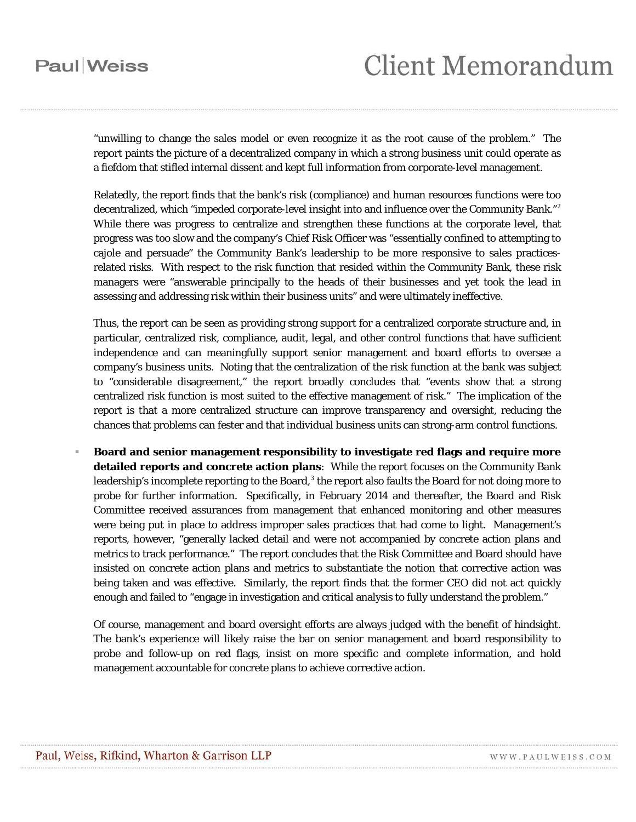### **Paul** Weiss

# **Client Memorandum**

"unwilling to change the sales model or even recognize it as the root cause of the problem." The report paints the picture of a decentralized company in which a strong business unit could operate as a fiefdom that stifled internal dissent and kept full information from corporate-level management.

Relatedly, the report finds that the bank's risk (compliance) and human resources functions were too decentralized, which "impeded corporate-level insight into and influence over the Community Bank."<sup>[2](#page-3-1)</sup> While there was progress to centralize and strengthen these functions at the corporate level, that progress was too slow and the company's Chief Risk Officer was "essentially confined to attempting to cajole and persuade" the Community Bank's leadership to be more responsive to sales practicesrelated risks. With respect to the risk function that resided within the Community Bank, these risk managers were "answerable principally to the heads of their businesses and yet took the lead in assessing and addressing risk within their business units" and were ultimately ineffective.

Thus, the report can be seen as providing strong support for a centralized corporate structure and, in particular, centralized risk, compliance, audit, legal, and other control functions that have sufficient independence and can meaningfully support senior management and board efforts to oversee a company's business units. Noting that the centralization of the risk function at the bank was subject to "considerable disagreement," the report broadly concludes that "events show that a strong centralized risk function is most suited to the effective management of risk." The implication of the report is that a more centralized structure can improve transparency and oversight, reducing the chances that problems can fester and that individual business units can strong-arm control functions.

 **Board and senior management responsibility to investigate red flags and require more detailed reports and concrete action plans**: While the report focuses on the Community Bank leadership's incomplete reporting to the Board, $3$  the report also faults the Board for not doing more to probe for further information. Specifically, in February 2014 and thereafter, the Board and Risk Committee received assurances from management that enhanced monitoring and other measures were being put in place to address improper sales practices that had come to light. Management's reports, however, "generally lacked detail and were not accompanied by concrete action plans and metrics to track performance." The report concludes that the Risk Committee and Board should have insisted on concrete action plans and metrics to substantiate the notion that corrective action was being taken and was effective. Similarly, the report finds that the former CEO did not act quickly enough and failed to "engage in investigation and critical analysis to fully understand the problem."

Of course, management and board oversight efforts are always judged with the benefit of hindsight. The bank's experience will likely raise the bar on senior management and board responsibility to probe and follow-up on red flags, insist on more specific and complete information, and hold management accountable for concrete plans to achieve corrective action.

WWW.PAULWEISS.COM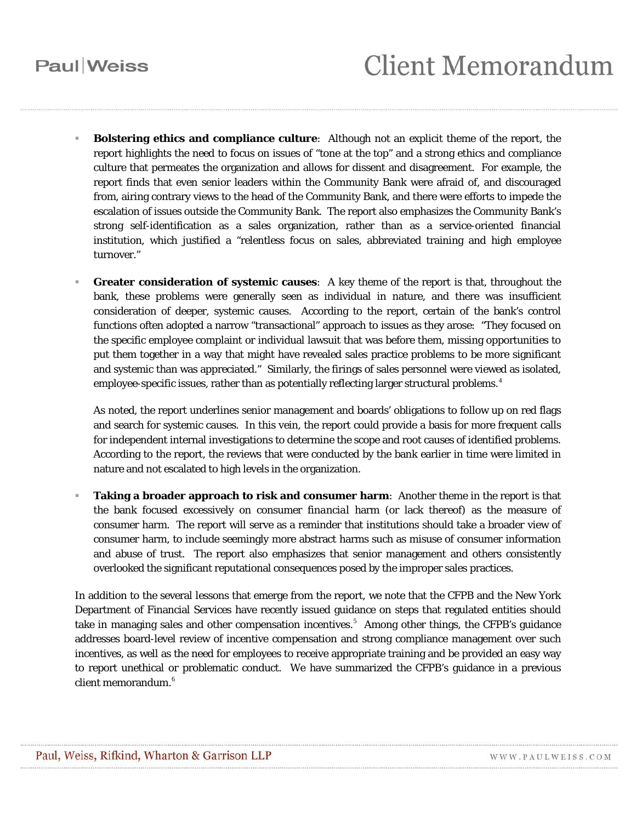## **Paul** Weiss

- **Bolstering ethics and compliance culture**: Although not an explicit theme of the report, the report highlights the need to focus on issues of "tone at the top" and a strong ethics and compliance culture that permeates the organization and allows for dissent and disagreement. For example, the report finds that even senior leaders within the Community Bank were afraid of, and discouraged from, airing contrary views to the head of the Community Bank, and there were efforts to impede the escalation of issues outside the Community Bank. The report also emphasizes the Community Bank's strong self-identification as a sales organization, rather than as a service-oriented financial institution, which justified a "relentless focus on sales, abbreviated training and high employee turnover."
- **Greater consideration of systemic causes**: A key theme of the report is that, throughout the bank, these problems were generally seen as individual in nature, and there was insufficient consideration of deeper, systemic causes. According to the report, certain of the bank's control functions often adopted a narrow "transactional" approach to issues as they arose: "They focused on the specific employee complaint or individual lawsuit that was before them, missing opportunities to put them together in a way that might have revealed sales practice problems to be more significant and systemic than was appreciated." Similarly, the firings of sales personnel were viewed as isolated, employee-specific issues, rather than as potentially reflecting larger structural problems.<sup>[4](#page-3-3)</sup>

As noted, the report underlines senior management and boards' obligations to follow up on red flags and search for systemic causes. In this vein, the report could provide a basis for more frequent calls for independent internal investigations to determine the scope and root causes of identified problems. According to the report, the reviews that were conducted by the bank earlier in time were limited in nature and not escalated to high levels in the organization.

 **Taking a broader approach to risk and consumer harm**: Another theme in the report is that the bank focused excessively on consumer *financial* harm (or lack thereof) as the measure of consumer harm. The report will serve as a reminder that institutions should take a broader view of consumer harm, to include seemingly more abstract harms such as misuse of consumer information and abuse of trust. The report also emphasizes that senior management and others consistently overlooked the significant reputational consequences posed by the improper sales practices.

In addition to the several lessons that emerge from the report, we note that the CFPB and the New York Department of Financial Services have recently issued guidance on steps that regulated entities should take in managing sales and other compensation incentives.<sup>[5](#page-3-4)</sup> Among other things, the CFPB's guidance addresses board-level review of incentive compensation and strong compliance management over such incentives, as well as the need for employees to receive appropriate training and be provided an easy way to report unethical or problematic conduct. We have summarized the CFPB's guidance in a previous client memorandum.<sup>[6](#page-3-5)</sup>